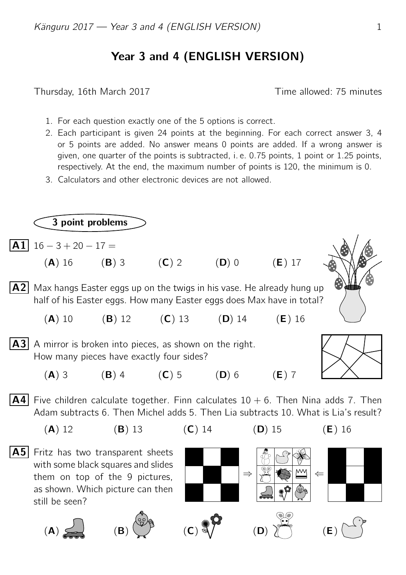## Year 3 and 4 (ENGLISH VERSION)

Thursday, 16th March 2017 Time allowed: 75 minutes

- 1. For each question exactly one of the 5 options is correct.
- 2. Each participant is given 24 points at the beginning. For each correct answer 3, 4 or 5 points are added. No answer means 0 points are added. If a wrong answer is given, one quarter of the points is subtracted, i. e. 0.75 points, 1 point or 1.25 points, respectively. At the end, the maximum number of points is 120, the minimum is 0.
- 3. Calculators and other electronic devices are not allowed.

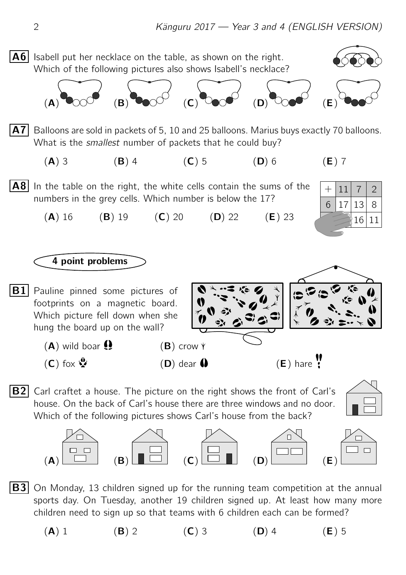

- $|B3|$  On Monday, 13 children signed up for the running team competition at the annual sports day. On Tuesday, another 19 children signed up. At least how many more children need to sign up so that teams with 6 children each can be formed?
	- (A) 1 (B) 2 (C) 3 (D) 4 (E) 5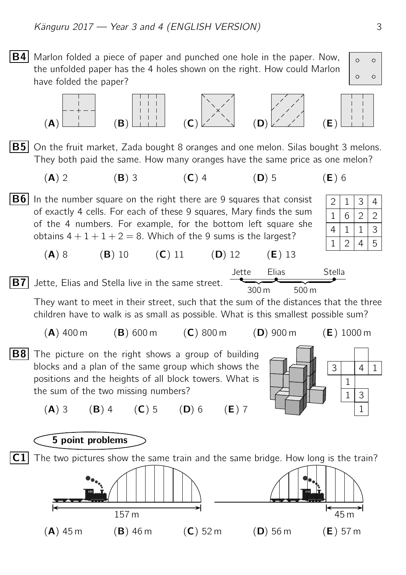**B4** Marlon folded a piece of paper and punched one hole in the paper. Now,

the unfolded paper has the 4 holes shown on the right. How could Marlon

have folded the paper?  $(A)$  (B)  $(A)$   $(B)$   $(A)$   $(C)$   $(C)$   $(C)$   $(D)$   $(C)$   $(D)$   $(C)$   $(E)$ **B5** On the fruit market, Zada bought 8 oranges and one melon. Silas bought 3 melons. They both paid the same. How many oranges have the same price as one melon? (A) 2 (B) 3 (C) 4 (D) 5 (E) 6 2 1 4 1 1 6 1  $\overline{2}$ 3 2 1 4 4 2 3 5 **B6** In the number square on the right there are 9 squares that consist of exactly 4 cells. For each of these 9 squares, Mary finds the sum of the 4 numbers. For example, for the bottom left square she obtains  $4 + 1 + 1 + 2 = 8$ . Which of the 9 sums is the largest? (A) 8 (B) 10 (C) 11 (D) 12 (E) 13  $|B7|$  Jette, Elias and Stella live in the same street. Jette Elias Stella  $\qquad \qquad$ 300 m 500 m They want to meet in their street, such that the sum of the distances that the three children have to walk is as small as possible. What is this smallest possible sum?  $(A)$  400 m  $(B)$  600 m  $(C)$  800 m  $(D)$  900 m  $(E)$  1000 m 1  $1 \mid 3$ 1  $3 | 4 | 1$ **B8** The picture on the right shows a group of building blocks and a plan of the same group which shows the positions and the heights of all block towers. What is the sum of the two missing numbers? (A) 3 (B) 4 (C) 5 (D) 6 (E) 7 5 point problems  $C1$  The two pictures show the same train and the same bridge. How long is the train?  $157 \text{ m}$  157 m  $(A)$  45 m (B) 46 m (C) 52 m (D) 56 m (E) 57 m

 $\circ$ 

 $\circ$ 

 $\Omega$ 

Ō